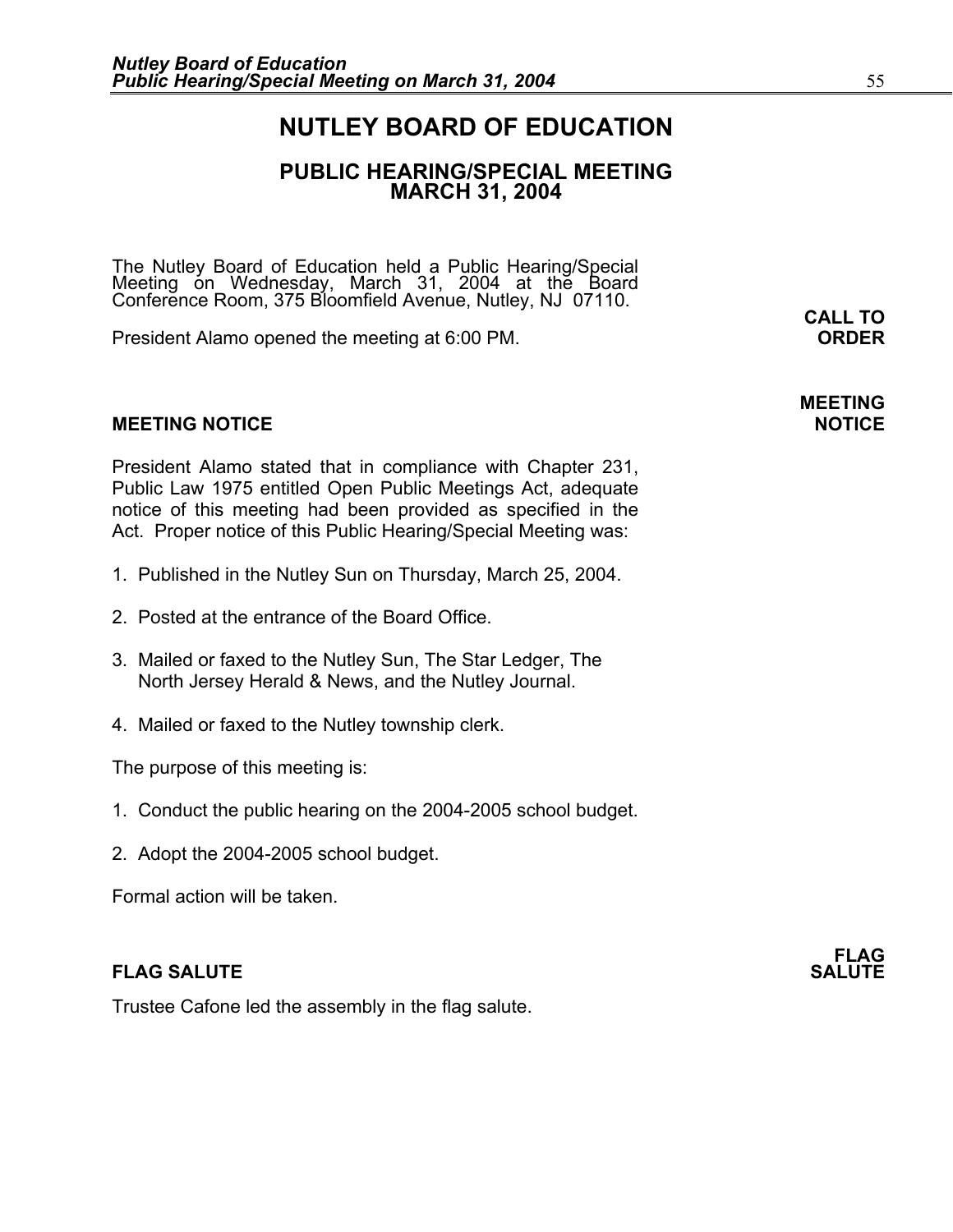## **NUTLEY BOARD OF EDUCATION**

### **PUBLIC HEARING/SPECIAL MEETING MARCH 31, 2004**

The Nutley Board of Education held a Public Hearing/Special Meeting on Wednesday, March 31, 2004 at the Board Conference Room, 375 Bloomfield Avenue, Nutley, NJ 07110.<br>**CALL TO** 

President Alamo opened the meeting at 6:00 PM. **ORDER**

#### **MEETING NOTICE NOTICE**

President Alamo stated that in compliance with Chapter 231, Public Law 1975 entitled Open Public Meetings Act, adequate notice of this meeting had been provided as specified in the Act. Proper notice of this Public Hearing/Special Meeting was:

- 1. Published in the Nutley Sun on Thursday, March 25, 2004.
- 2. Posted at the entrance of the Board Office.
- 3. Mailed or faxed to the Nutley Sun, The Star Ledger, The North Jersey Herald & News, and the Nutley Journal.
- 4. Mailed or faxed to the Nutley township clerk.

The purpose of this meeting is:

- 1. Conduct the public hearing on the 2004-2005 school budget.
- 2. Adopt the 2004-2005 school budget.

Formal action will be taken.

#### **FLAG SALUTE** SALUTE SALUTE SALUTE SALUTE SALUTE

Trustee Cafone led the assembly in the flag salute.

# **MEETING**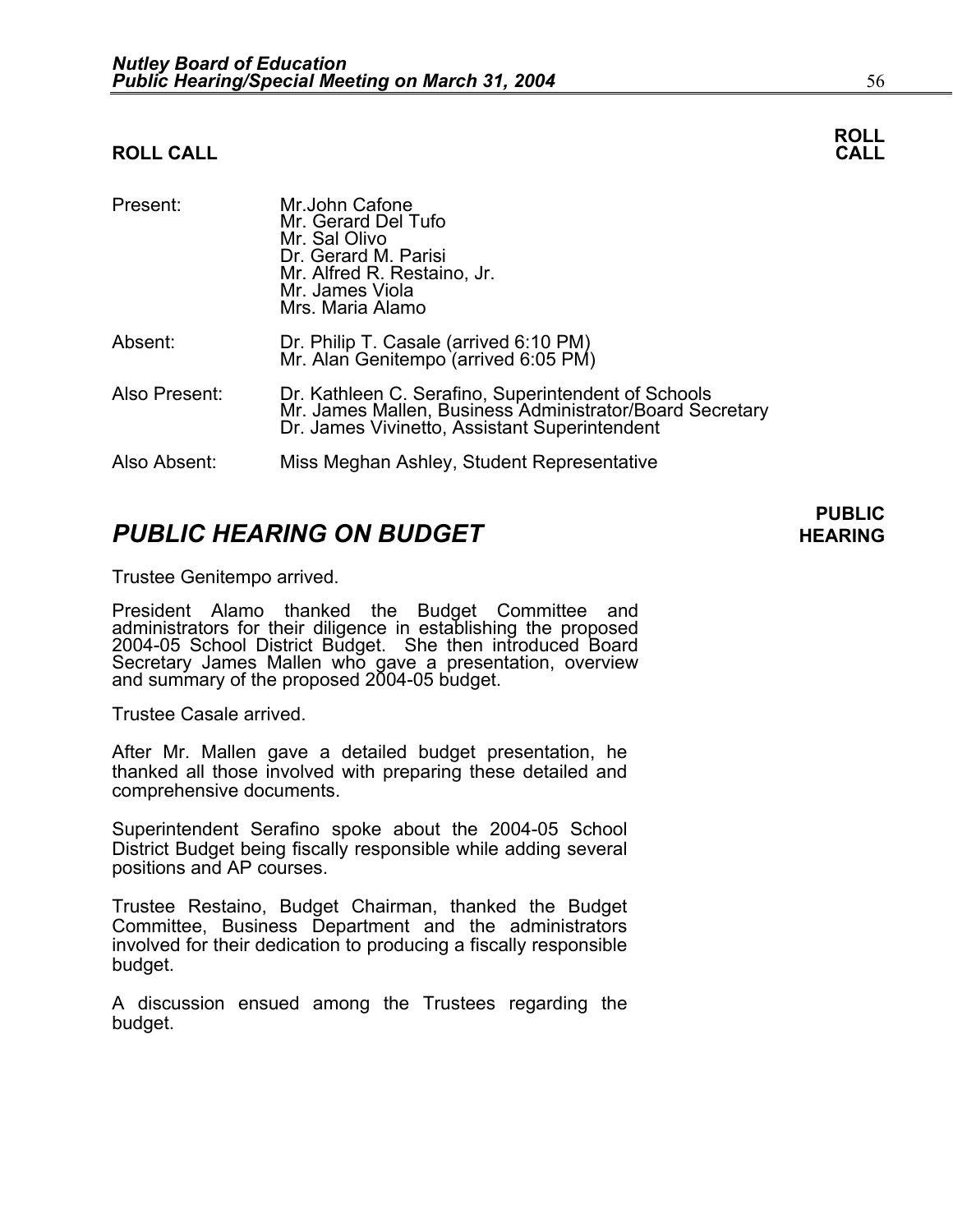#### **ROLL CALL**

| Present:      | Mr.John Cafone<br>Mr. Gerard Del Tufo<br>Mr. Sal Olivo<br>Dr. Gerard M. Parisi<br>Mr. Alfred R. Restaino, Jr.<br>Mr. James Viola<br>Mrs. Maria Alamo             |
|---------------|------------------------------------------------------------------------------------------------------------------------------------------------------------------|
| Absent:       | Dr. Philip T. Casale (arrived 6:10 PM)<br>Mr. Alan Genitempo (arrived 6:05 PM)                                                                                   |
| Also Present: | Dr. Kathleen C. Serafino, Superintendent of Schools<br>Mr. James Mallen, Business Administrator/Board Secretary<br>Dr. James Vivinetto, Assistant Superintendent |
| Also Absent:  | Miss Meghan Ashley, Student Representative                                                                                                                       |

## **PUBLIC HEARING ON BUDGET HEARING**

Trustee Genitempo arrived.

President Alamo thanked the Budget Committee and administrators for their diligence in establishing the proposed 2004-05 School District Budget. She then introduced Board Secretary James Mallen who gave a presentation, overview and summary of the proposed 2004-05 budget.

Trustee Casale arrived.

After Mr. Mallen gave a detailed budget presentation, he thanked all those involved with preparing these detailed and comprehensive documents.

Superintendent Serafino spoke about the 2004-05 School District Budget being fiscally responsible while adding several positions and AP courses.

Trustee Restaino, Budget Chairman, thanked the Budget Committee, Business Department and the administrators involved for their dedication to producing a fiscally responsible budget.

A discussion ensued among the Trustees regarding the budget.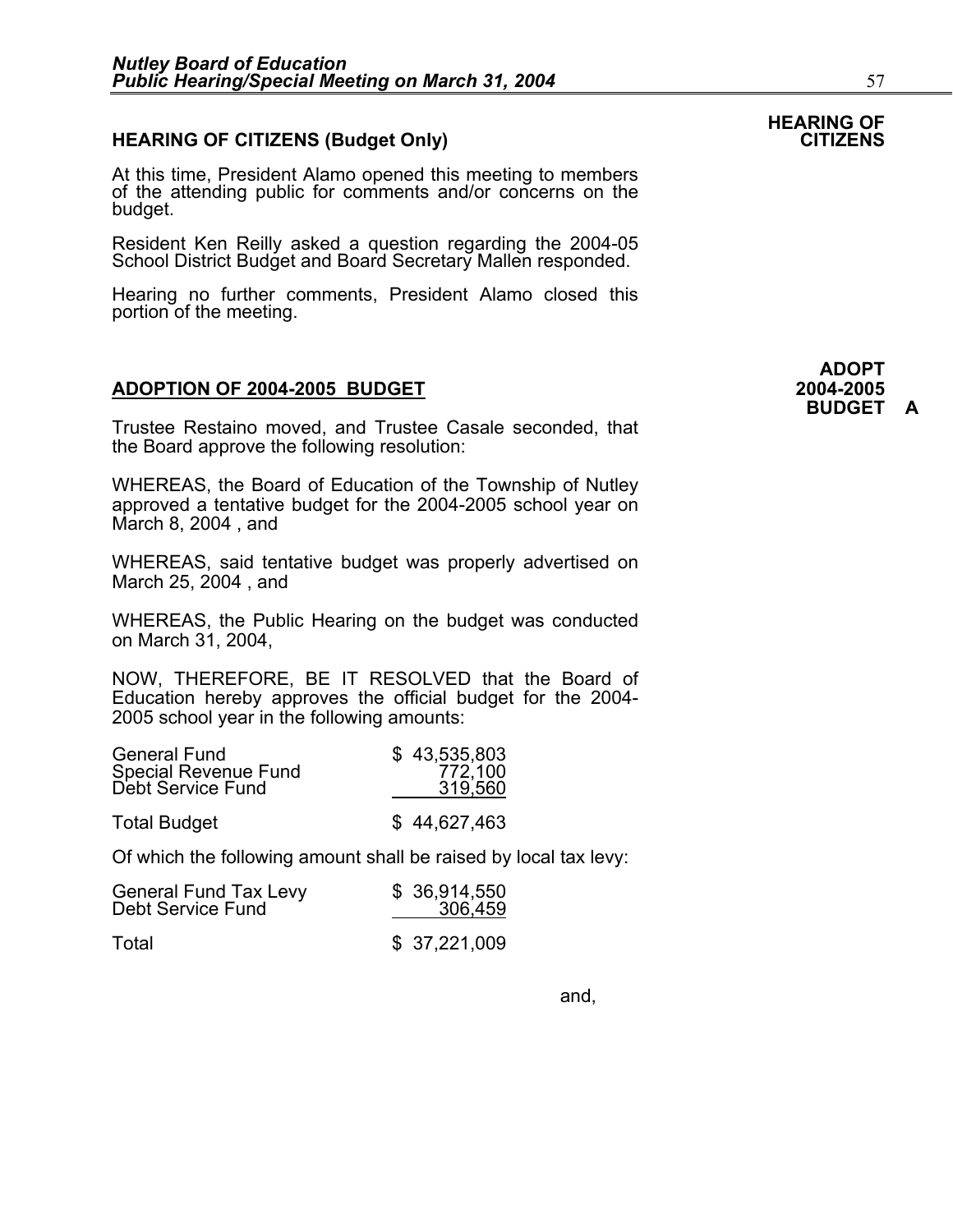#### **HEARING OF CITIZENS (Budget Only)**

At this time, President Alamo opened this meeting to members of the attending public for comments and/or concerns on the budget.

Resident Ken Reilly asked a question regarding the 2004-05 School District Budget and Board Secretary Mallen responded.

Hearing no further comments, President Alamo closed this portion of the meeting.

#### **ADOPTION OF 2004-2005 BUDGET 2004-2005**

Trustee Restaino moved, and Trustee Casale seconded, that the Board approve the following resolution:

WHEREAS, the Board of Education of the Township of Nutley approved a tentative budget for the 2004-2005 school year on March 8, 2004 , and

WHEREAS, said tentative budget was properly advertised on March 25, 2004 , and

WHEREAS, the Public Hearing on the budget was conducted on March 31, 2004,

NOW, THEREFORE, BE IT RESOLVED that the Board of Education hereby approves the official budget for the 2004- 2005 school year in the following amounts:

| <b>General Fund</b>         | \$43,535,803 |
|-----------------------------|--------------|
| <b>Special Revenue Fund</b> | 772,100      |
| Debt Service Fund           | 319,560      |
|                             |              |

Total Budget \$ 44,627,463

Of which the following amount shall be raised by local tax levy:

| <b>General Fund Tax Levy</b> | \$ 36,914,550 |
|------------------------------|---------------|
| Debt Service Fund            | 306,459       |
| Total                        | \$37,221,009  |

**HEARING OF**

and,